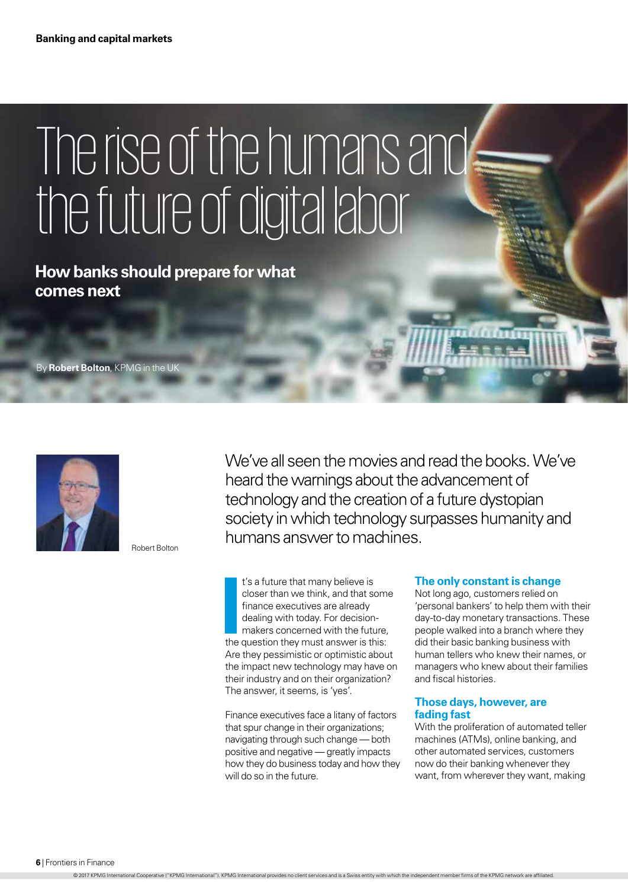# The rise of the humans and the future of digital labor

**How banks should prepare for what comes next**

By **Robert Bolton**, KPMG in the U



Robert Bolton

We've all seen the movies and read the books.We've heard the warnings about the advancement of technology and the creation of a future dystopian society in which technology surpasses humanity and humans answer to machines.

**I's a future that many believe is<br>
closer than we think, and that som<br>
finance executives are already<br>
dealing with today. For decision-<br>
makers concerned with the future,<br>
the question they must answer is this:** t's a future that many believe is closer than we think, and that some finance executives are already dealing with today. For decisionmakers concerned with the future, Are they pessimistic or optimistic about the impact new technology may have on their industry and on their organization? The answer, it seems, is 'yes'.

Finance executives face a litany of factors that spur change in their organizations; navigating through such change — both positive and negative — greatly impacts how they do business today and how they will do so in the future.

#### **The only constant is change**

Not long ago, customers relied on 'personal bankers' to help them with their day-to-day monetary transactions. These people walked into a branch where they did their basic banking business with human tellers who knew their names, or managers who knew about their families and fiscal histories.

#### **Those days, however, are fading fast**

With the proliferation of automated teller machines (ATMs), online banking, and other automated services, customers now do their banking whenever they want, from wherever they want, making

**6** | Frontiers in Finance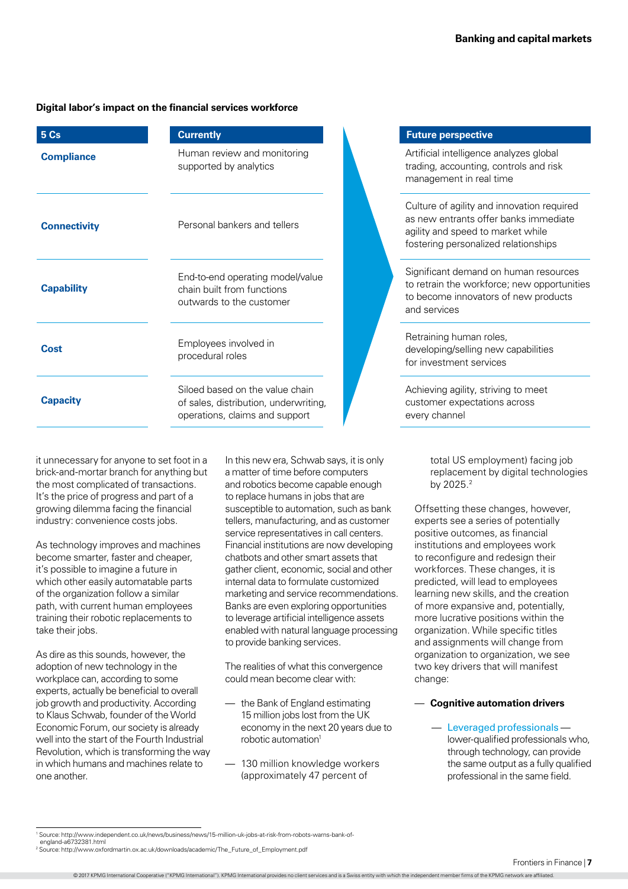# **Digital labor's impact on the financial services workforce**

| 5 Cs                | <b>Currently</b>                                                                                           |
|---------------------|------------------------------------------------------------------------------------------------------------|
| <b>Compliance</b>   | Human review and monitoring<br>supported by analytics                                                      |
| <b>Connectivity</b> | Personal bankers and tellers                                                                               |
| <b>Capability</b>   | End-to-end operating model/value<br>chain built from functions<br>outwards to the customer                 |
| Cost                | Employees involved in<br>procedural roles                                                                  |
| <b>Capacity</b>     | Siloed based on the value chain<br>of sales, distribution, underwriting,<br>operations, claims and support |

it unnecessary for anyone to set foot in a brick-and-mortar branch for anything but the most complicated of transactions. It's the price of progress and part of a growing dilemma facing the financial industry: convenience costs jobs.

As technology improves and machines become smarter, faster and cheaper, it's possible to imagine a future in which other easily automatable parts of the organization follow a similar path, with current human employees training their robotic replacements to take their jobs.

As dire as this sounds, however, the adoption of new technology in the workplace can, according to some experts, actually be beneficial to overall job growth and productivity. According to Klaus Schwab, founder of the World Economic Forum, our society is already well into the start of the Fourth Industrial Revolution, which is transforming the way in which humans and machines relate to one another.

In this new era, Schwab says, it is only a matter of time before computers and robotics become capable enough to replace humans in jobs that are susceptible to automation, such as bank tellers, manufacturing, and as customer service representatives in call centers. Financial institutions are now developing chatbots and other smart assets that gather client, economic, social and other internal data to formulate customized marketing and service recommendations. Banks are even exploring opportunities to leverage artificial intelligence assets enabled with natural language processing to provide banking services.

The realities of what this convergence could mean become clear with:

- the Bank of England estimating 15 million jobs lost from the UK economy in the next 20 years due to robotic automation<sup>1</sup>
- 130 million knowledge workers (approximately 47 percent of

## **Future perspective**

Artificial intelligence analyzes global trading, accounting, controls and risk management in real time

Culture of agility and innovation required as new entrants offer banks immediate agility and speed to market while fostering personalized relationships

Significant demand on human resources to retrain the workforce; new opportunities to become innovators of new products and services

Retraining human roles, developing/selling new capabilities for investment services

Achieving agility, striving to meet customer expectations across every channel

> total US employment) facing job replacement by digital technologies by 2025.2

Offsetting these changes, however, experts see a series of potentially positive outcomes, as financial institutions and employees work to reconfigure and redesign their workforces. These changes, it is predicted, will lead to employees learning new skills, and the creation of more expansive and, potentially, more lucrative positions within the organization. While specific titles and assignments will change from organization to organization, we see two key drivers that will manifest change:

# — **Cognitive automation drivers**

— Leveraged professionals lower-qualified professionals who, through technology, can provide the same output as a fully qualified professional in the same field.

<sup>1</sup> Source: http://www.independent.co.uk/news/business/news/15-million-uk-jobs-at-risk-from-robots-warns-bank-of-

england-a6732381.html <sup>2</sup> Source: [http://www.oxfordmartin.ox.ac.uk/downloads/academic/The\\_Future\\_of\\_Employment.pdf](http://www.oxfordmartin.ox.ac.uk/downloads/academic/The_Future_of_Employment.pdf)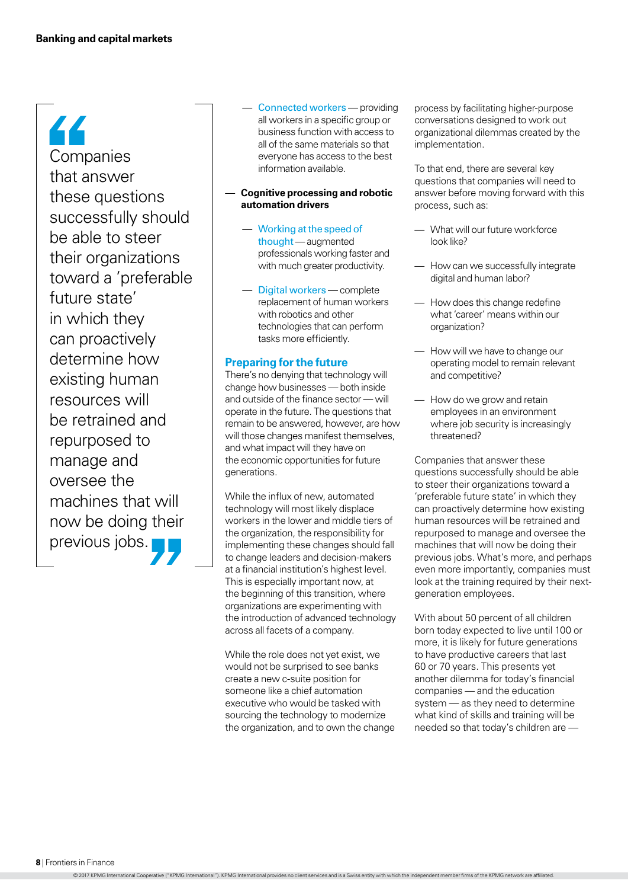44 Companies that answer these questions successfully should be able to steer their organizations toward a 'preferable future state' in which they can proactively determine how existing human resources will be retrained and repurposed to manage and oversee the machines that will now be doing their previous jobs.

- Connected workers providing all workers in a specific group or business function with access to all of the same materials so that everyone has access to the best information available.
- **Cognitive processing and robotic automation drivers**
	- Working at the speed of thought— augmented professionals working faster and with much greater productivity.
	- Digital workers complete replacement of human workers with robotics and other technologies that can perform tasks more efficiently.

### **Preparing for the future**

There's no denying that technology will change how businesses — both inside and outside of the finance sector — will operate in the future. The questions that remain to be answered, however, are how will those changes manifest themselves. and what impact will they have on the economic opportunities for future generations.

While the influx of new, automated technology will most likely displace workers in the lower and middle tiers of the organization, the responsibility for implementing these changes should fall to change leaders and decision-makers at a financial institution's highest level. This is especially important now, at the beginning of this transition, where organizations are experimenting with the introduction of advanced technology across all facets of a company.

While the role does not yet exist, we would not be surprised to see banks create a new c-suite position for someone like a chief automation executive who would be tasked with sourcing the technology to modernize the organization, and to own the change process by facilitating higher-purpose conversations designed to work out organizational dilemmas created by the implementation.

To that end, there are several key questions that companies will need to answer before moving forward with this process, such as:

- What will our future workforce look like?
- How can we successfully integrate digital and human labor?
- How does this change redefine what 'career' means within our organization?
- How will we have to change our operating model to remain relevant and competitive?
- How do we grow and retain employees in an environment where job security is increasingly threatened?

Companies that answer these questions successfully should be able to steer their organizations toward a 'preferable future state' in which they can proactively determine how existing human resources will be retrained and repurposed to manage and oversee the machines that will now be doing their previous jobs. What's more, and perhaps even more importantly, companies must look at the training required by their nextgeneration employees.

With about 50 percent of all children born today expected to live until 100 or more, it is likely for future generations to have productive careers that last 60 or 70 years. This presents yet another dilemma for today's financial companies — and the education system — as they need to determine what kind of skills and training will be needed so that today's children are —